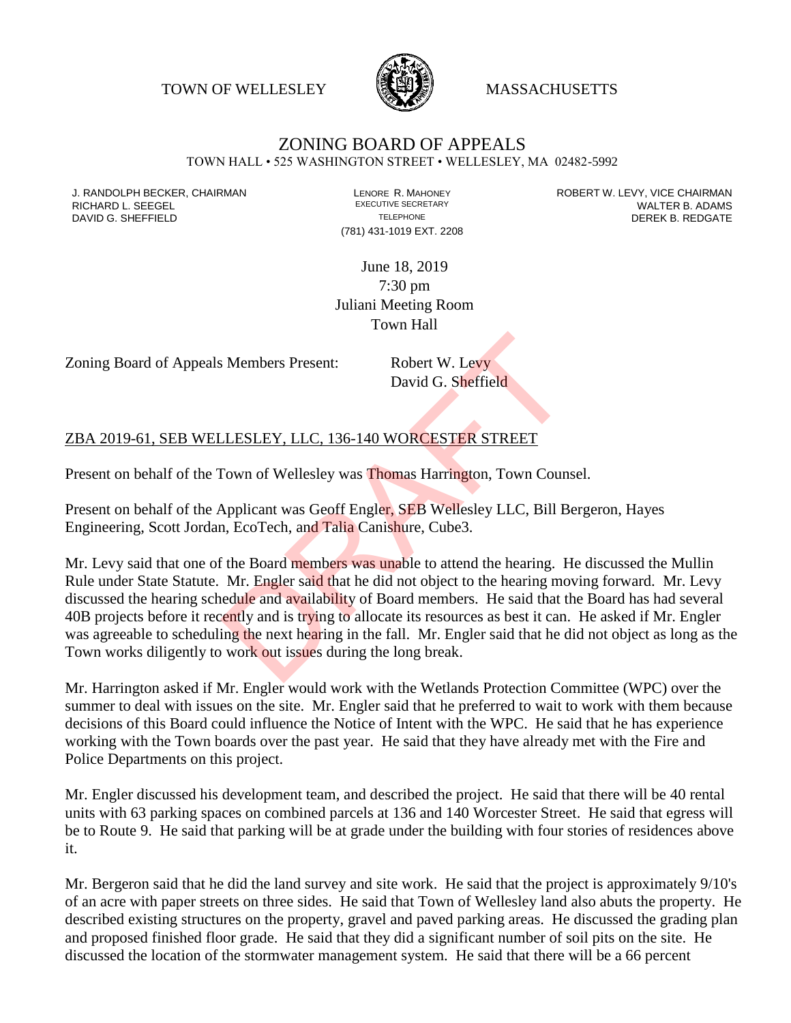TOWN OF WELLESLEY **WASSACHUSETTS** 



## ZONING BOARD OF APPEALS

TOWN HALL • 525 WASHINGTON STREET • WELLESLEY, MA 02482-5992

(781) 431-1019 EXT. 2208

J. RANDOLPH BECKER, CHAIRMAN LAND LENORE R. MAHONEY LEWING AN ANDERT W. LEVY, VICE CHAIRMAN LAND LENORE R. MAHONEY<br>RICHARD L. SFFGFI LADAMS RICHARD L. SEEGEL **EXECUTIVE SECRETARY CONTROLL SEEGETARY** WALTER B. ADAMS DAVID G. SHEFFIELD **TELEPHONE** TELEPHONE TELEPHONE **TELEPHONE DEREK B. REDGATE** 

> June 18, 2019 7:30 pm Juliani Meeting Room Town Hall

Zoning Board of Appeals Members Present: Robert W. Levy

David G. Sheffield

## ZBA 2019-61, SEB WELLESLEY, LLC, 136-140 WORCESTER STREET

Present on behalf of the Town of Wellesley was Thomas Harrington, Town Counsel.

Present on behalf of the Applicant was Geoff Engler, SEB Wellesley LLC, Bill Bergeron, Hayes Engineering, Scott Jordan, EcoTech, and Talia Canishure, Cube3.

Mr. Levy said that one of the Board members was unable to attend the hearing. He discussed the Mullin Rule under State Statute. Mr. Engler said that he did not object to the hearing moving forward. Mr. Levy discussed the hearing schedule and availability of Board members. He said that the Board has had several 40B projects before it recently and is trying to allocate its resources as best it can. He asked if Mr. Engler was agreeable to scheduling the next hearing in the fall. Mr. Engler said that he did not object as long as the Town works diligently to work out issues during the long break. BRAFT STEET THE READ WORCESTER STREET<br>
David G. Sheffield<br>
David G. Sheffield<br>
David G. Sheffield<br>
LLESLEY, LLC, 136-140 WORCESTER STREET<br>
Fown of Wellesley was Thomas Harrington, Town Couns<br>
Applicant was Geoff Engler, SE

Mr. Harrington asked if Mr. Engler would work with the Wetlands Protection Committee (WPC) over the summer to deal with issues on the site. Mr. Engler said that he preferred to wait to work with them because decisions of this Board could influence the Notice of Intent with the WPC. He said that he has experience working with the Town boards over the past year. He said that they have already met with the Fire and Police Departments on this project.

Mr. Engler discussed his development team, and described the project. He said that there will be 40 rental units with 63 parking spaces on combined parcels at 136 and 140 Worcester Street. He said that egress will be to Route 9. He said that parking will be at grade under the building with four stories of residences above it.

Mr. Bergeron said that he did the land survey and site work. He said that the project is approximately 9/10's of an acre with paper streets on three sides. He said that Town of Wellesley land also abuts the property. He described existing structures on the property, gravel and paved parking areas. He discussed the grading plan and proposed finished floor grade. He said that they did a significant number of soil pits on the site. He discussed the location of the stormwater management system. He said that there will be a 66 percent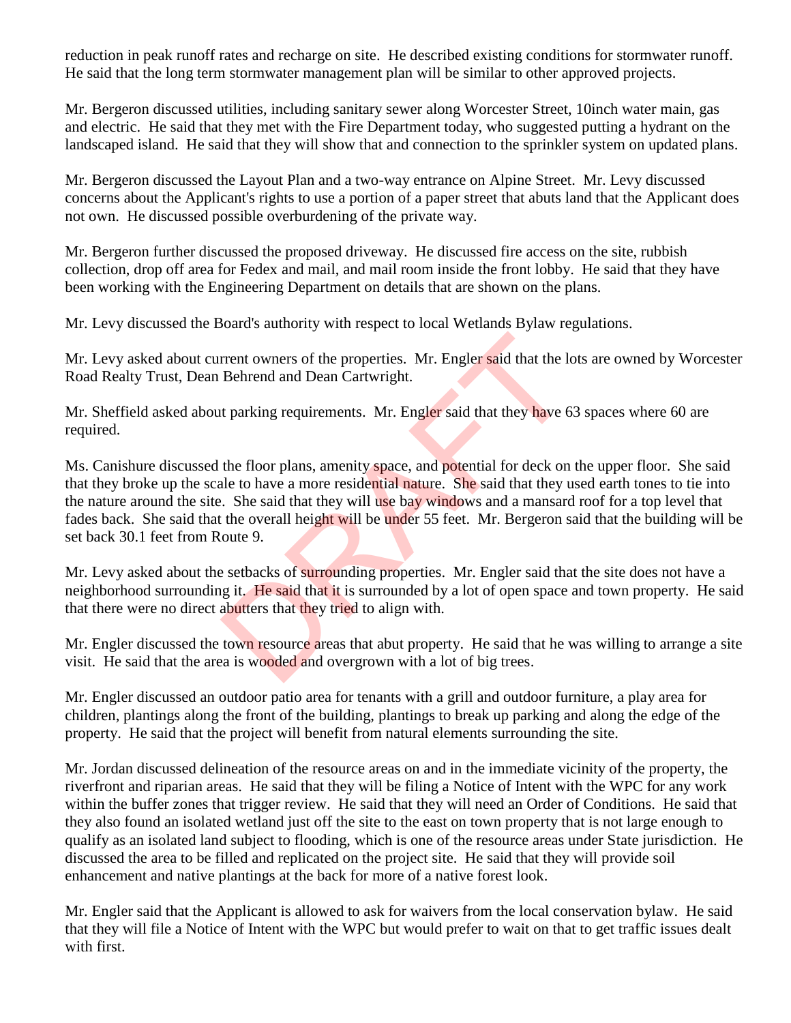reduction in peak runoff rates and recharge on site. He described existing conditions for stormwater runoff. He said that the long term stormwater management plan will be similar to other approved projects.

Mr. Bergeron discussed utilities, including sanitary sewer along Worcester Street, 10inch water main, gas and electric. He said that they met with the Fire Department today, who suggested putting a hydrant on the landscaped island. He said that they will show that and connection to the sprinkler system on updated plans.

Mr. Bergeron discussed the Layout Plan and a two-way entrance on Alpine Street. Mr. Levy discussed concerns about the Applicant's rights to use a portion of a paper street that abuts land that the Applicant does not own. He discussed possible overburdening of the private way.

Mr. Bergeron further discussed the proposed driveway. He discussed fire access on the site, rubbish collection, drop off area for Fedex and mail, and mail room inside the front lobby. He said that they have been working with the Engineering Department on details that are shown on the plans.

Mr. Levy discussed the Board's authority with respect to local Wetlands Bylaw regulations.

Mr. Levy asked about current owners of the properties. Mr. Engler said that the lots are owned by Worcester Road Realty Trust, Dean Behrend and Dean Cartwright.

Mr. Sheffield asked about parking requirements. Mr. Engler said that they have 63 spaces where 60 are required.

Ms. Canishure discussed the floor plans, amenity space, and potential for deck on the upper floor. She said that they broke up the scale to have a more residential nature. She said that they used earth tones to tie into the nature around the site. She said that they will use bay windows and a mansard roof for a top level that fades back. She said that the overall height will be under 55 feet. Mr. Bergeron said that the building will be set back 30.1 feet from Route 9. Frent owners of the properties. Mr. Engler said that the left Behrend and Dean Cartwright.<br>
It parking requirements. Mr. Engler said that they have 6<br>
the floor plans, amenity space, and potential for deck on<br>
the floor pl

Mr. Levy asked about the setbacks of surrounding properties. Mr. Engler said that the site does not have a neighborhood surrounding it. He said that it is surrounded by a lot of open space and town property. He said that there were no direct abutters that they tried to align with.

Mr. Engler discussed the town resource areas that abut property. He said that he was willing to arrange a site visit. He said that the area is wooded and overgrown with a lot of big trees.

Mr. Engler discussed an outdoor patio area for tenants with a grill and outdoor furniture, a play area for children, plantings along the front of the building, plantings to break up parking and along the edge of the property. He said that the project will benefit from natural elements surrounding the site.

Mr. Jordan discussed delineation of the resource areas on and in the immediate vicinity of the property, the riverfront and riparian areas. He said that they will be filing a Notice of Intent with the WPC for any work within the buffer zones that trigger review. He said that they will need an Order of Conditions. He said that they also found an isolated wetland just off the site to the east on town property that is not large enough to qualify as an isolated land subject to flooding, which is one of the resource areas under State jurisdiction. He discussed the area to be filled and replicated on the project site. He said that they will provide soil enhancement and native plantings at the back for more of a native forest look.

Mr. Engler said that the Applicant is allowed to ask for waivers from the local conservation bylaw. He said that they will file a Notice of Intent with the WPC but would prefer to wait on that to get traffic issues dealt with first.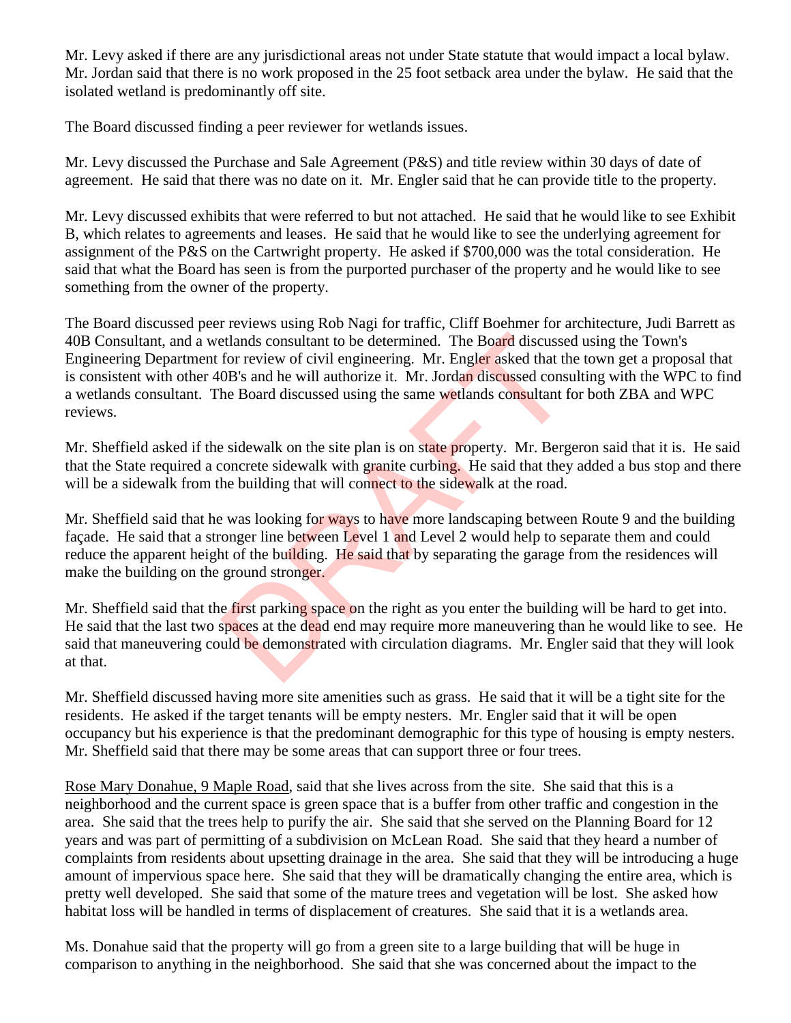Mr. Levy asked if there are any jurisdictional areas not under State statute that would impact a local bylaw. Mr. Jordan said that there is no work proposed in the 25 foot setback area under the bylaw. He said that the isolated wetland is predominantly off site.

The Board discussed finding a peer reviewer for wetlands issues.

Mr. Levy discussed the Purchase and Sale Agreement (P&S) and title review within 30 days of date of agreement. He said that there was no date on it. Mr. Engler said that he can provide title to the property.

Mr. Levy discussed exhibits that were referred to but not attached. He said that he would like to see Exhibit B, which relates to agreements and leases. He said that he would like to see the underlying agreement for assignment of the P&S on the Cartwright property. He asked if \$700,000 was the total consideration. He said that what the Board has seen is from the purported purchaser of the property and he would like to see something from the owner of the property.

The Board discussed peer reviews using Rob Nagi for traffic, Cliff Boehmer for architecture, Judi Barrett as 40B Consultant, and a wetlands consultant to be determined. The Board discussed using the Town's Engineering Department for review of civil engineering. Mr. Engler asked that the town get a proposal that is consistent with other 40B's and he will authorize it. Mr. Jordan discussed consulting with the WPC to find a wetlands consultant. The Board discussed using the same wetlands consultant for both ZBA and WPC reviews. etlands consultant to be determined. The Board discusses<br>for review of civil engineering. Mr. Engler asked that th<br>OB's and he will authorize it. Mr. Jordan discussed consultant for<br>OB's and he will authorize it. Mr. Jorda

Mr. Sheffield asked if the sidewalk on the site plan is on state property. Mr. Bergeron said that it is. He said that the State required a concrete sidewalk with granite curbing. He said that they added a bus stop and there will be a sidewalk from the building that will connect to the sidewalk at the road.

Mr. Sheffield said that he was looking for ways to have more landscaping between Route 9 and the building façade. He said that a stronger line between Level 1 and Level 2 would help to separate them and could reduce the apparent height of the building. He said that by separating the garage from the residences will make the building on the ground stronger.

Mr. Sheffield said that the first parking space on the right as you enter the building will be hard to get into. He said that the last two spaces at the dead end may require more maneuvering than he would like to see. He said that maneuvering could be demonstrated with circulation diagrams. Mr. Engler said that they will look at that.

Mr. Sheffield discussed having more site amenities such as grass. He said that it will be a tight site for the residents. He asked if the target tenants will be empty nesters. Mr. Engler said that it will be open occupancy but his experience is that the predominant demographic for this type of housing is empty nesters. Mr. Sheffield said that there may be some areas that can support three or four trees.

Rose Mary Donahue, 9 Maple Road, said that she lives across from the site. She said that this is a neighborhood and the current space is green space that is a buffer from other traffic and congestion in the area. She said that the trees help to purify the air. She said that she served on the Planning Board for 12 years and was part of permitting of a subdivision on McLean Road. She said that they heard a number of complaints from residents about upsetting drainage in the area. She said that they will be introducing a huge amount of impervious space here. She said that they will be dramatically changing the entire area, which is pretty well developed. She said that some of the mature trees and vegetation will be lost. She asked how habitat loss will be handled in terms of displacement of creatures. She said that it is a wetlands area.

Ms. Donahue said that the property will go from a green site to a large building that will be huge in comparison to anything in the neighborhood. She said that she was concerned about the impact to the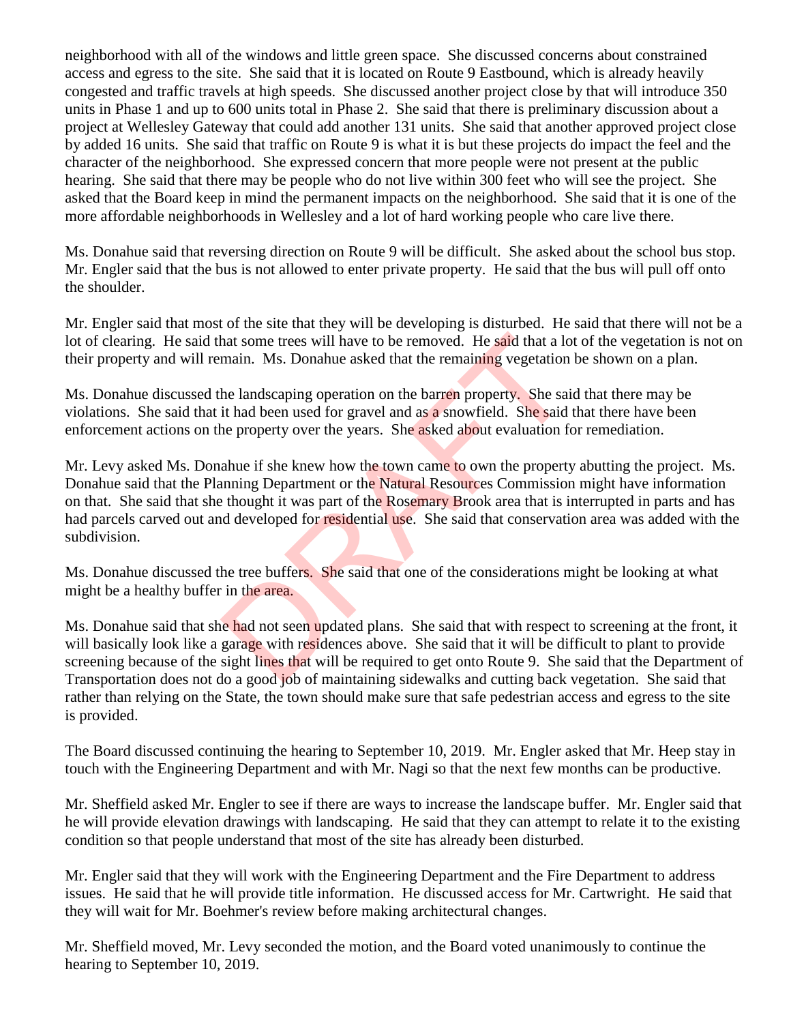neighborhood with all of the windows and little green space. She discussed concerns about constrained access and egress to the site. She said that it is located on Route 9 Eastbound, which is already heavily congested and traffic travels at high speeds. She discussed another project close by that will introduce 350 units in Phase 1 and up to 600 units total in Phase 2. She said that there is preliminary discussion about a project at Wellesley Gateway that could add another 131 units. She said that another approved project close by added 16 units. She said that traffic on Route 9 is what it is but these projects do impact the feel and the character of the neighborhood. She expressed concern that more people were not present at the public hearing. She said that there may be people who do not live within 300 feet who will see the project. She asked that the Board keep in mind the permanent impacts on the neighborhood. She said that it is one of the more affordable neighborhoods in Wellesley and a lot of hard working people who care live there.

Ms. Donahue said that reversing direction on Route 9 will be difficult. She asked about the school bus stop. Mr. Engler said that the bus is not allowed to enter private property. He said that the bus will pull off onto the shoulder.

Mr. Engler said that most of the site that they will be developing is disturbed. He said that there will not be a lot of clearing. He said that some trees will have to be removed. He said that a lot of the vegetation is not on their property and will remain. Ms. Donahue asked that the remaining vegetation be shown on a plan.

Ms. Donahue discussed the landscaping operation on the barren property. She said that there may be violations. She said that it had been used for gravel and as a snowfield. She said that there have been enforcement actions on the property over the years. She asked about evaluation for remediation.

Mr. Levy asked Ms. Donahue if she knew how the town came to own the property abutting the project. Ms. Donahue said that the Planning Department or the Natural Resources Commission might have information on that. She said that she thought it was part of the Rosemary Brook area that is interrupted in parts and has had parcels carved out and developed for residential use. She said that conservation area was added with the subdivision. hat some trees will have to be removed. He said that a lo<br>main. Ms. Donahue asked that the remaining vegetation<br>he landscaping operation on the barren property. She said<br>it had been used for gravel and as a snowfield. She

Ms. Donahue discussed the tree buffers. She said that one of the considerations might be looking at what might be a healthy buffer in the area.

Ms. Donahue said that she had not seen updated plans. She said that with respect to screening at the front, it will basically look like a garage with residences above. She said that it will be difficult to plant to provide screening because of the sight lines that will be required to get onto Route 9. She said that the Department of Transportation does not do a good job of maintaining sidewalks and cutting back vegetation. She said that rather than relying on the State, the town should make sure that safe pedestrian access and egress to the site is provided.

The Board discussed continuing the hearing to September 10, 2019. Mr. Engler asked that Mr. Heep stay in touch with the Engineering Department and with Mr. Nagi so that the next few months can be productive.

Mr. Sheffield asked Mr. Engler to see if there are ways to increase the landscape buffer. Mr. Engler said that he will provide elevation drawings with landscaping. He said that they can attempt to relate it to the existing condition so that people understand that most of the site has already been disturbed.

Mr. Engler said that they will work with the Engineering Department and the Fire Department to address issues. He said that he will provide title information. He discussed access for Mr. Cartwright. He said that they will wait for Mr. Boehmer's review before making architectural changes.

Mr. Sheffield moved, Mr. Levy seconded the motion, and the Board voted unanimously to continue the hearing to September 10, 2019.